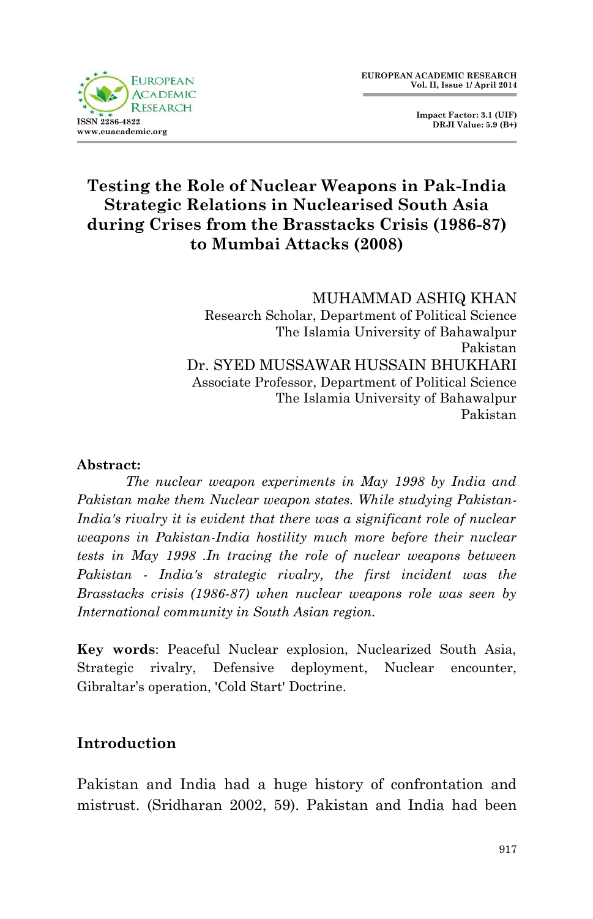

 **Impact Factor: 3.1 (UIF) DRJI Value: 5.9 (B+)**

# **Testing the Role of Nuclear Weapons in Pak-India Strategic Relations in Nuclearised South Asia during Crises from the Brasstacks Crisis (1986-87) to Mumbai Attacks (2008)**

### MUHAMMAD ASHIQ KHAN

Research Scholar, Department of Political Science The Islamia University of Bahawalpur Pakistan Dr. SYED MUSSAWAR HUSSAIN BHUKHARI Associate Professor, Department of Political Science The Islamia University of Bahawalpur Pakistan

#### **Abstract:**

*The nuclear weapon experiments in May 1998 by India and Pakistan make them Nuclear weapon states. While studying Pakistan-India's rivalry it is evident that there was a significant role of nuclear weapons in Pakistan-India hostility much more before their nuclear tests in May 1998 .In tracing the role of nuclear weapons between Pakistan - India's strategic rivalry, the first incident was the Brasstacks crisis (1986-87) when nuclear weapons role was seen by International community in South Asian region.*

**Key words**: Peaceful Nuclear explosion, Nuclearized South Asia, Strategic rivalry, Defensive deployment, Nuclear encounter, Gibraltar's operation, 'Cold Start' Doctrine.

### **Introduction**

Pakistan and India had a huge history of confrontation and mistrust. (Sridharan 2002, 59). Pakistan and India had been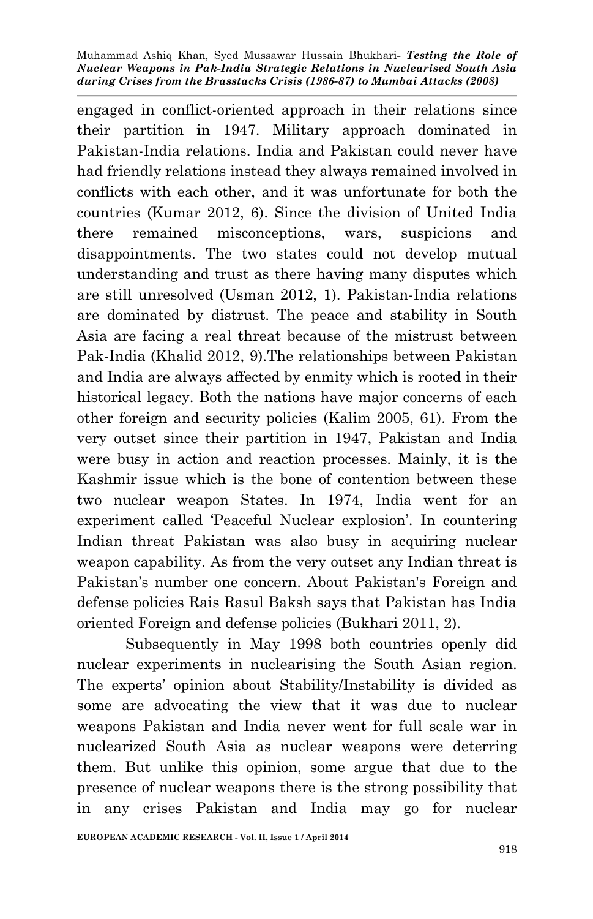engaged in conflict-oriented approach in their relations since their partition in 1947. Military approach dominated in Pakistan-India relations. India and Pakistan could never have had friendly relations instead they always remained involved in conflicts with each other, and it was unfortunate for both the countries (Kumar 2012, 6). Since the division of United India there remained misconceptions, wars, suspicions and disappointments. The two states could not develop mutual understanding and trust as there having many disputes which are still unresolved (Usman 2012, 1). Pakistan-India relations are dominated by distrust. The peace and stability in South Asia are facing a real threat because of the mistrust between Pak-India (Khalid 2012, 9).The relationships between Pakistan and India are always affected by enmity which is rooted in their historical legacy. Both the nations have major concerns of each other foreign and security policies (Kalim 2005, 61). From the very outset since their partition in 1947, Pakistan and India were busy in action and reaction processes. Mainly, it is the Kashmir issue which is the bone of contention between these two nuclear weapon States. In 1974, India went for an experiment called 'Peaceful Nuclear explosion'. In countering Indian threat Pakistan was also busy in acquiring nuclear weapon capability. As from the very outset any Indian threat is Pakistan's number one concern. About Pakistan's Foreign and defense policies Rais Rasul Baksh says that Pakistan has India oriented Foreign and defense policies (Bukhari 2011, 2).

Subsequently in May 1998 both countries openly did nuclear experiments in nuclearising the South Asian region. The experts' opinion about Stability/Instability is divided as some are advocating the view that it was due to nuclear weapons Pakistan and India never went for full scale war in nuclearized South Asia as nuclear weapons were deterring them. But unlike this opinion, some argue that due to the presence of nuclear weapons there is the strong possibility that in any crises Pakistan and India may go for nuclear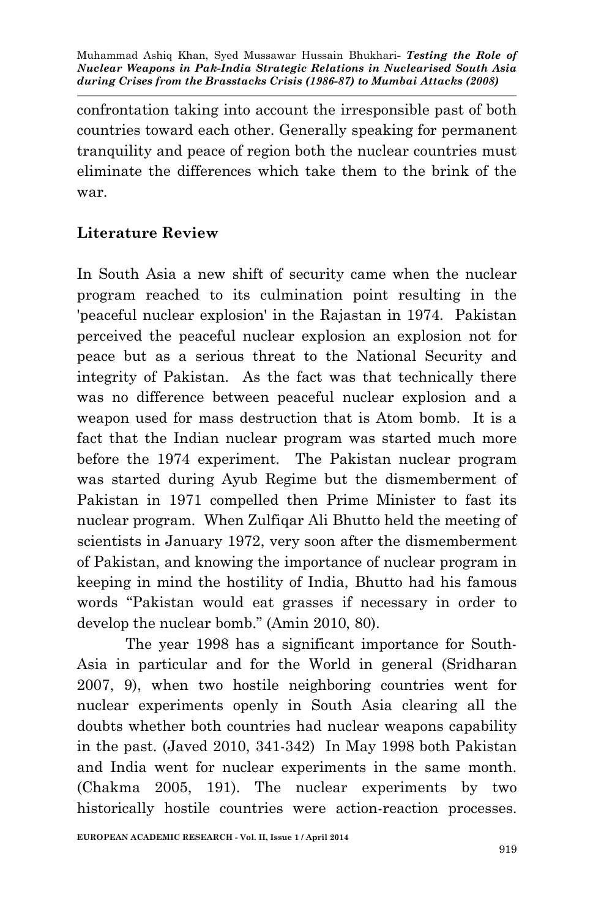confrontation taking into account the irresponsible past of both countries toward each other. Generally speaking for permanent tranquility and peace of region both the nuclear countries must eliminate the differences which take them to the brink of the war.

### **Literature Review**

In South Asia a new shift of security came when the nuclear program reached to its culmination point resulting in the 'peaceful nuclear explosion' in the Rajastan in 1974. Pakistan perceived the peaceful nuclear explosion an explosion not for peace but as a serious threat to the National Security and integrity of Pakistan. As the fact was that technically there was no difference between peaceful nuclear explosion and a weapon used for mass destruction that is Atom bomb. It is a fact that the Indian nuclear program was started much more before the 1974 experiment. The Pakistan nuclear program was started during Ayub Regime but the dismemberment of Pakistan in 1971 compelled then Prime Minister to fast its nuclear program. When Zulfiqar Ali Bhutto held the meeting of scientists in January 1972, very soon after the dismemberment of Pakistan, and knowing the importance of nuclear program in keeping in mind the hostility of India, Bhutto had his famous words "Pakistan would eat grasses if necessary in order to develop the nuclear bomb." (Amin 2010, 80).

The year 1998 has a significant importance for South-Asia in particular and for the World in general (Sridharan 2007, 9), when two hostile neighboring countries went for nuclear experiments openly in South Asia clearing all the doubts whether both countries had nuclear weapons capability in the past. (Javed 2010, 341-342) In May 1998 both Pakistan and India went for nuclear experiments in the same month. (Chakma 2005, 191). The nuclear experiments by two historically hostile countries were action-reaction processes.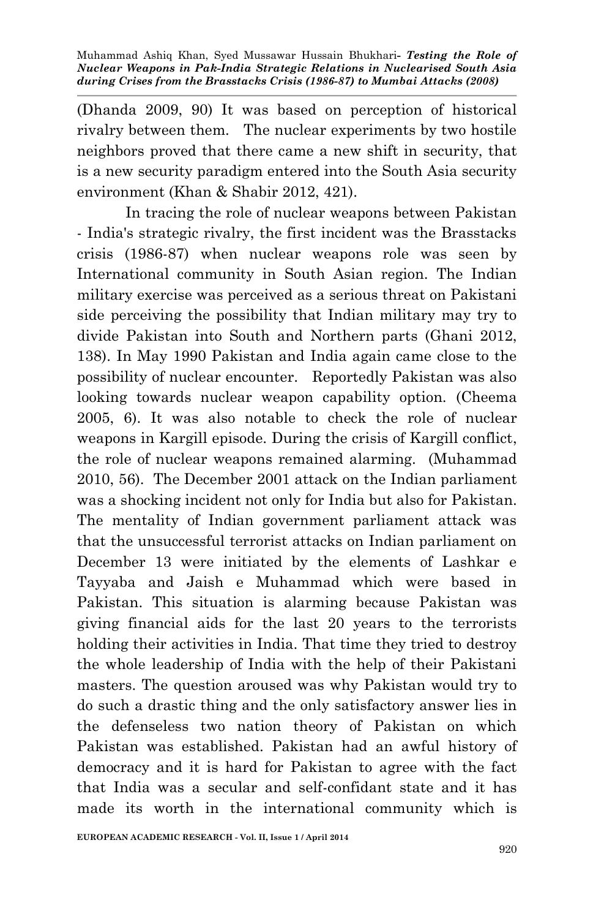(Dhanda 2009, 90) It was based on perception of historical rivalry between them. The nuclear experiments by two hostile neighbors proved that there came a new shift in security, that is a new security paradigm entered into the South Asia security environment (Khan & Shabir 2012, 421).

In tracing the role of nuclear weapons between Pakistan - India's strategic rivalry, the first incident was the Brasstacks crisis (1986-87) when nuclear weapons role was seen by International community in South Asian region. The Indian military exercise was perceived as a serious threat on Pakistani side perceiving the possibility that Indian military may try to divide Pakistan into South and Northern parts (Ghani 2012, 138). In May 1990 Pakistan and India again came close to the possibility of nuclear encounter. Reportedly Pakistan was also looking towards nuclear weapon capability option. (Cheema 2005, 6). It was also notable to check the role of nuclear weapons in Kargill episode. During the crisis of Kargill conflict, the role of nuclear weapons remained alarming. (Muhammad 2010, 56). The December 2001 attack on the Indian parliament was a shocking incident not only for India but also for Pakistan. The mentality of Indian government parliament attack was that the unsuccessful terrorist attacks on Indian parliament on December 13 were initiated by the elements of Lashkar e Tayyaba and Jaish e Muhammad which were based in Pakistan. This situation is alarming because Pakistan was giving financial aids for the last 20 years to the terrorists holding their activities in India. That time they tried to destroy the whole leadership of India with the help of their Pakistani masters. The question aroused was why Pakistan would try to do such a drastic thing and the only satisfactory answer lies in the defenseless two nation theory of Pakistan on which Pakistan was established. Pakistan had an awful history of democracy and it is hard for Pakistan to agree with the fact that India was a secular and self-confidant state and it has made its worth in the international community which is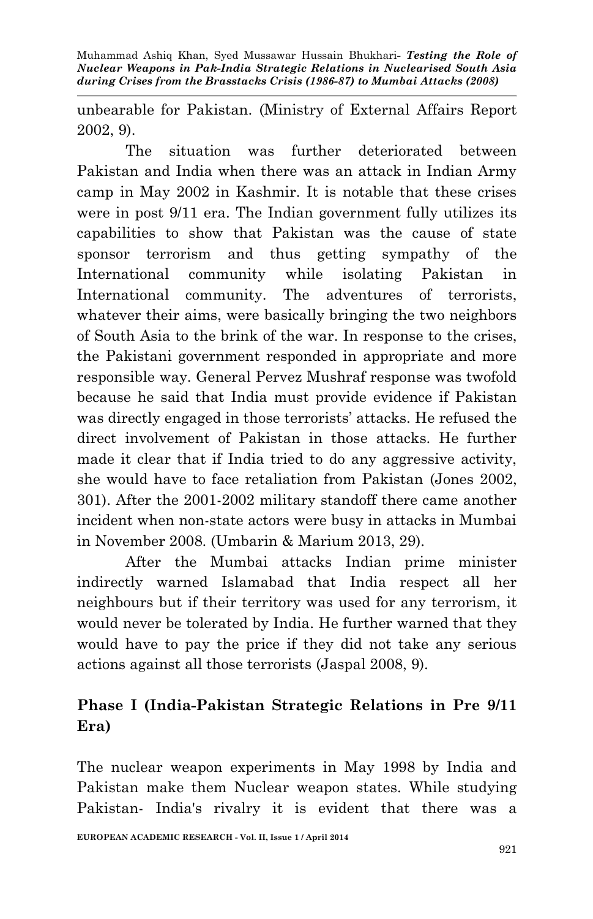unbearable for Pakistan. (Ministry of External Affairs Report 2002, 9).

The situation was further deteriorated between Pakistan and India when there was an attack in Indian Army camp in May 2002 in Kashmir. It is notable that these crises were in post 9/11 era. The Indian government fully utilizes its capabilities to show that Pakistan was the cause of state sponsor terrorism and thus getting sympathy of the International community while isolating Pakistan in International community. The adventures of terrorists, whatever their aims, were basically bringing the two neighbors of South Asia to the brink of the war. In response to the crises, the Pakistani government responded in appropriate and more responsible way. General Pervez Mushraf response was twofold because he said that India must provide evidence if Pakistan was directly engaged in those terrorists' attacks. He refused the direct involvement of Pakistan in those attacks. He further made it clear that if India tried to do any aggressive activity, she would have to face retaliation from Pakistan (Jones 2002, 301). After the 2001-2002 military standoff there came another incident when non-state actors were busy in attacks in Mumbai in November 2008. (Umbarin & Marium 2013, 29).

After the Mumbai attacks Indian prime minister indirectly warned Islamabad that India respect all her neighbours but if their territory was used for any terrorism, it would never be tolerated by India. He further warned that they would have to pay the price if they did not take any serious actions against all those terrorists (Jaspal 2008, 9).

## **Phase I (India-Pakistan Strategic Relations in Pre 9/11 Era)**

The nuclear weapon experiments in May 1998 by India and Pakistan make them Nuclear weapon states. While studying Pakistan- India's rivalry it is evident that there was a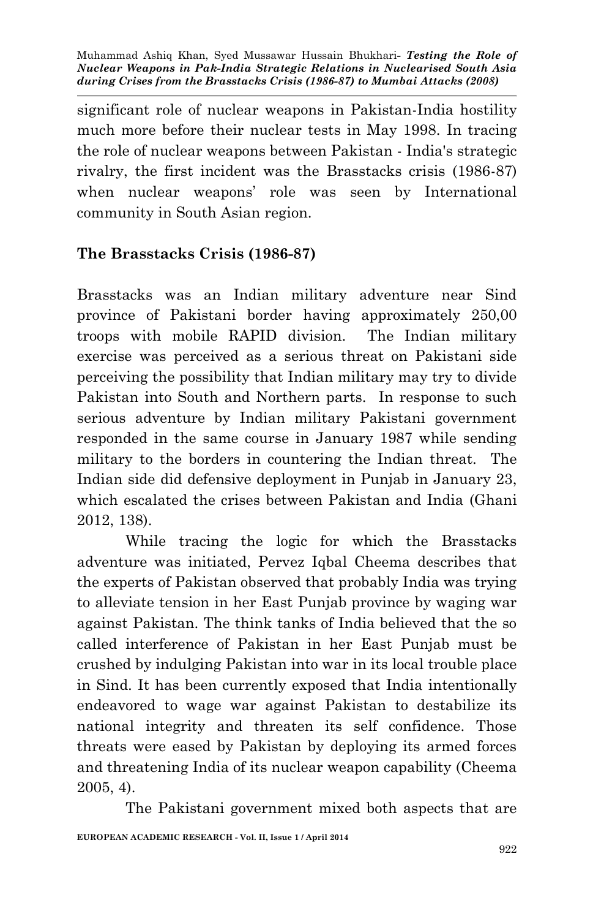significant role of nuclear weapons in Pakistan-India hostility much more before their nuclear tests in May 1998. In tracing the role of nuclear weapons between Pakistan - India's strategic rivalry, the first incident was the Brasstacks crisis (1986-87) when nuclear weapons' role was seen by International community in South Asian region.

### **The Brasstacks Crisis (1986-87)**

Brasstacks was an Indian military adventure near Sind province of Pakistani border having approximately 250,00 troops with mobile RAPID division. The Indian military exercise was perceived as a serious threat on Pakistani side perceiving the possibility that Indian military may try to divide Pakistan into South and Northern parts. In response to such serious adventure by Indian military Pakistani government responded in the same course in January 1987 while sending military to the borders in countering the Indian threat. The Indian side did defensive deployment in Punjab in January 23, which escalated the crises between Pakistan and India (Ghani 2012, 138).

While tracing the logic for which the Brasstacks adventure was initiated, Pervez Iqbal Cheema describes that the experts of Pakistan observed that probably India was trying to alleviate tension in her East Punjab province by waging war against Pakistan. The think tanks of India believed that the so called interference of Pakistan in her East Punjab must be crushed by indulging Pakistan into war in its local trouble place in Sind. It has been currently exposed that India intentionally endeavored to wage war against Pakistan to destabilize its national integrity and threaten its self confidence. Those threats were eased by Pakistan by deploying its armed forces and threatening India of its nuclear weapon capability (Cheema 2005, 4).

The Pakistani government mixed both aspects that are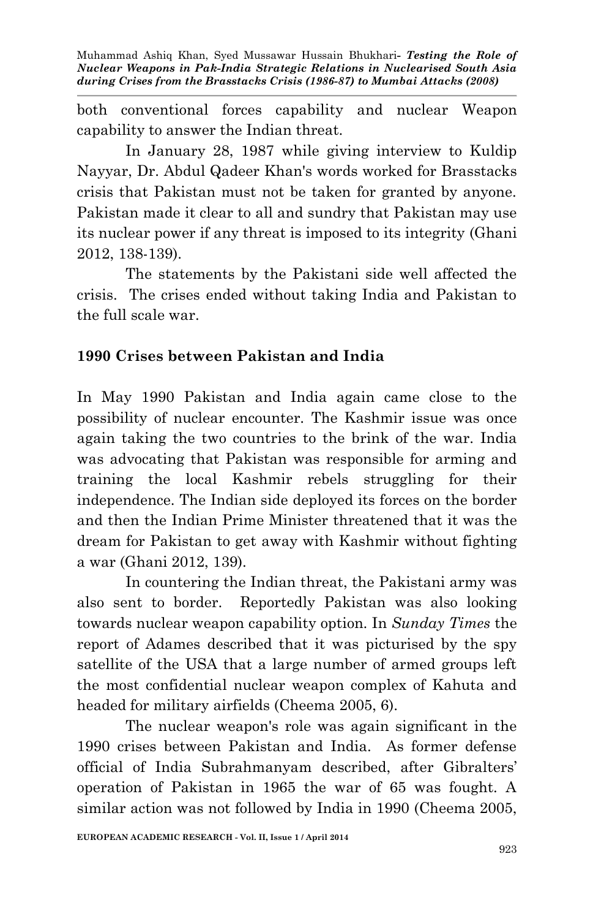both conventional forces capability and nuclear Weapon capability to answer the Indian threat.

In January 28, 1987 while giving interview to Kuldip Nayyar, Dr. Abdul Qadeer Khan's words worked for Brasstacks crisis that Pakistan must not be taken for granted by anyone. Pakistan made it clear to all and sundry that Pakistan may use its nuclear power if any threat is imposed to its integrity (Ghani 2012, 138-139).

The statements by the Pakistani side well affected the crisis. The crises ended without taking India and Pakistan to the full scale war.

### **1990 Crises between Pakistan and India**

In May 1990 Pakistan and India again came close to the possibility of nuclear encounter. The Kashmir issue was once again taking the two countries to the brink of the war. India was advocating that Pakistan was responsible for arming and training the local Kashmir rebels struggling for their independence. The Indian side deployed its forces on the border and then the Indian Prime Minister threatened that it was the dream for Pakistan to get away with Kashmir without fighting a war (Ghani 2012, 139).

In countering the Indian threat, the Pakistani army was also sent to border. Reportedly Pakistan was also looking towards nuclear weapon capability option. In *Sunday Times* the report of Adames described that it was picturised by the spy satellite of the USA that a large number of armed groups left the most confidential nuclear weapon complex of Kahuta and headed for military airfields (Cheema 2005, 6).

The nuclear weapon's role was again significant in the 1990 crises between Pakistan and India. As former defense official of India Subrahmanyam described, after Gibralters' operation of Pakistan in 1965 the war of 65 was fought. A similar action was not followed by India in 1990 (Cheema 2005,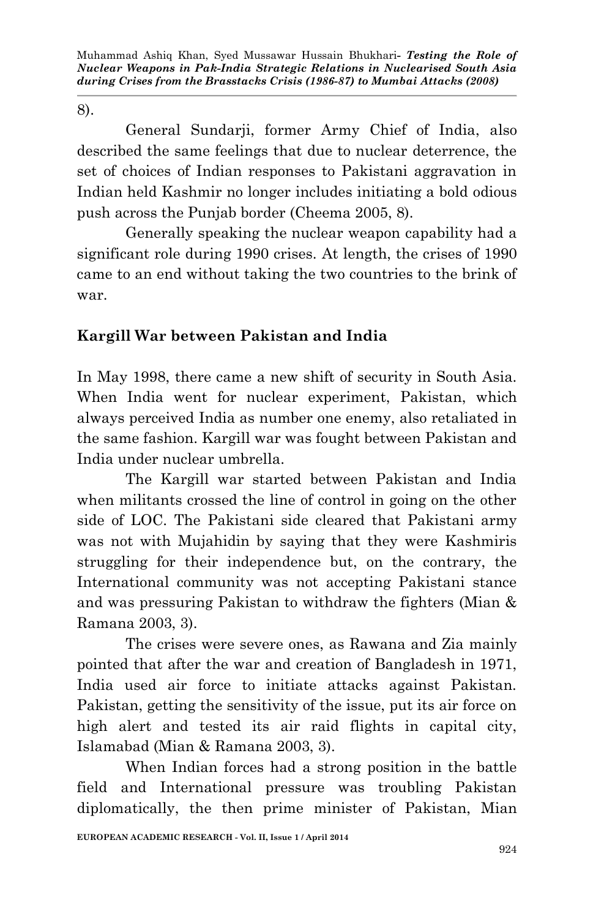8).

General Sundarji, former Army Chief of India, also described the same feelings that due to nuclear deterrence, the set of choices of Indian responses to Pakistani aggravation in Indian held Kashmir no longer includes initiating a bold odious push across the Punjab border (Cheema 2005, 8).

Generally speaking the nuclear weapon capability had a significant role during 1990 crises. At length, the crises of 1990 came to an end without taking the two countries to the brink of war.

## **Kargill War between Pakistan and India**

In May 1998, there came a new shift of security in South Asia. When India went for nuclear experiment, Pakistan, which always perceived India as number one enemy, also retaliated in the same fashion. Kargill war was fought between Pakistan and India under nuclear umbrella.

The Kargill war started between Pakistan and India when militants crossed the line of control in going on the other side of LOC. The Pakistani side cleared that Pakistani army was not with Mujahidin by saying that they were Kashmiris struggling for their independence but, on the contrary, the International community was not accepting Pakistani stance and was pressuring Pakistan to withdraw the fighters (Mian & Ramana 2003, 3).

The crises were severe ones, as Rawana and Zia mainly pointed that after the war and creation of Bangladesh in 1971, India used air force to initiate attacks against Pakistan. Pakistan, getting the sensitivity of the issue, put its air force on high alert and tested its air raid flights in capital city, Islamabad (Mian & Ramana 2003, 3).

When Indian forces had a strong position in the battle field and International pressure was troubling Pakistan diplomatically, the then prime minister of Pakistan, Mian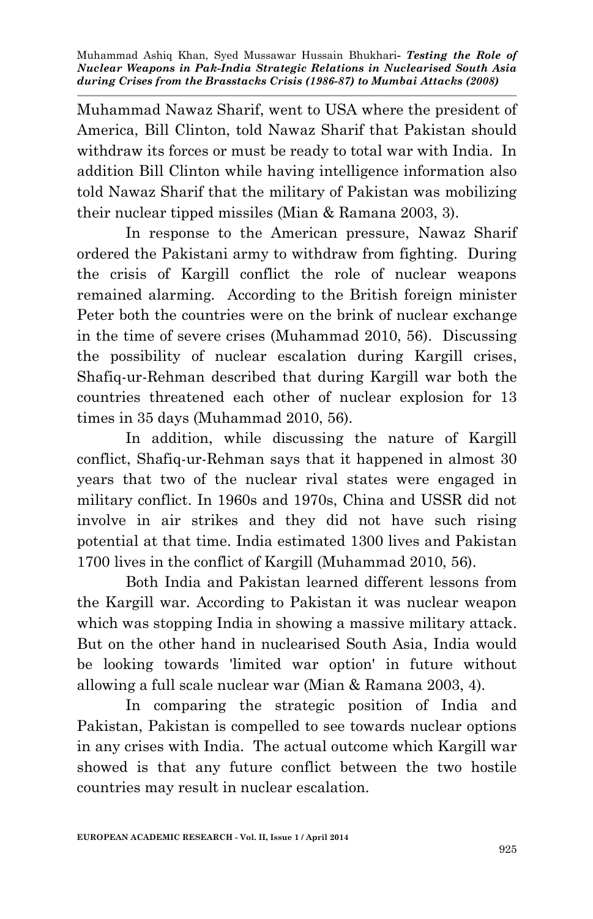Muhammad Nawaz Sharif, went to USA where the president of America, Bill Clinton, told Nawaz Sharif that Pakistan should withdraw its forces or must be ready to total war with India. In addition Bill Clinton while having intelligence information also told Nawaz Sharif that the military of Pakistan was mobilizing their nuclear tipped missiles (Mian & Ramana 2003, 3).

In response to the American pressure, Nawaz Sharif ordered the Pakistani army to withdraw from fighting. During the crisis of Kargill conflict the role of nuclear weapons remained alarming. According to the British foreign minister Peter both the countries were on the brink of nuclear exchange in the time of severe crises (Muhammad 2010, 56). Discussing the possibility of nuclear escalation during Kargill crises, Shafiq-ur-Rehman described that during Kargill war both the countries threatened each other of nuclear explosion for 13 times in 35 days (Muhammad 2010, 56).

In addition, while discussing the nature of Kargill conflict, Shafiq-ur-Rehman says that it happened in almost 30 years that two of the nuclear rival states were engaged in military conflict. In 1960s and 1970s, China and USSR did not involve in air strikes and they did not have such rising potential at that time. India estimated 1300 lives and Pakistan 1700 lives in the conflict of Kargill (Muhammad 2010, 56).

Both India and Pakistan learned different lessons from the Kargill war. According to Pakistan it was nuclear weapon which was stopping India in showing a massive military attack. But on the other hand in nuclearised South Asia, India would be looking towards 'limited war option' in future without allowing a full scale nuclear war (Mian & Ramana 2003, 4).

In comparing the strategic position of India and Pakistan, Pakistan is compelled to see towards nuclear options in any crises with India. The actual outcome which Kargill war showed is that any future conflict between the two hostile countries may result in nuclear escalation.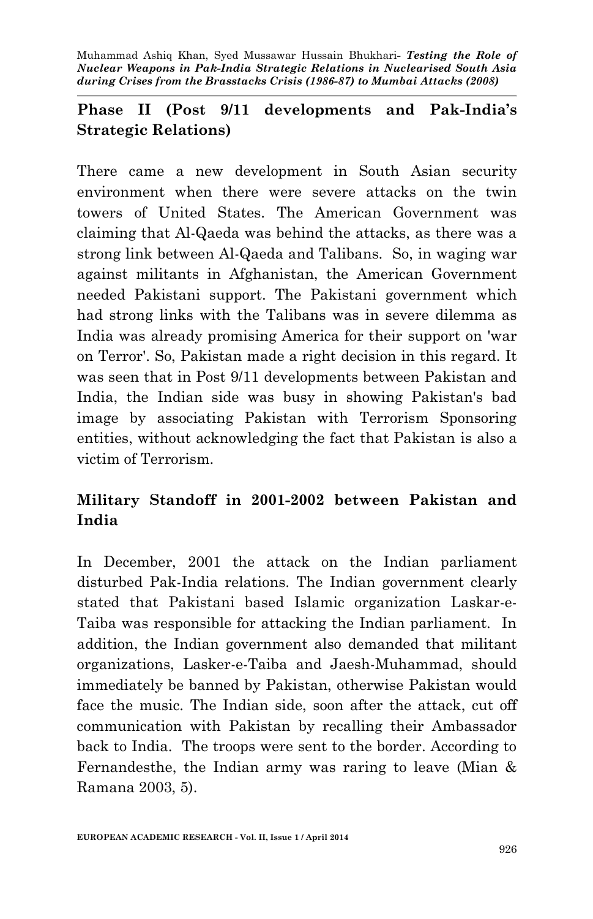# **Phase II (Post 9/11 developments and Pak-India's Strategic Relations)**

There came a new development in South Asian security environment when there were severe attacks on the twin towers of United States. The American Government was claiming that Al-Qaeda was behind the attacks, as there was a strong link between Al-Qaeda and Talibans. So, in waging war against militants in Afghanistan, the American Government needed Pakistani support. The Pakistani government which had strong links with the Talibans was in severe dilemma as India was already promising America for their support on 'war on Terror'. So, Pakistan made a right decision in this regard. It was seen that in Post 9/11 developments between Pakistan and India, the Indian side was busy in showing Pakistan's bad image by associating Pakistan with Terrorism Sponsoring entities, without acknowledging the fact that Pakistan is also a victim of Terrorism.

# **Military Standoff in 2001-2002 between Pakistan and India**

In December, 2001 the attack on the Indian parliament disturbed Pak-India relations. The Indian government clearly stated that Pakistani based Islamic organization Laskar-e-Taiba was responsible for attacking the Indian parliament. In addition, the Indian government also demanded that militant organizations, Lasker-e-Taiba and Jaesh-Muhammad, should immediately be banned by Pakistan, otherwise Pakistan would face the music. The Indian side, soon after the attack, cut off communication with Pakistan by recalling their Ambassador back to India. The troops were sent to the border. According to Fernandesthe, the Indian army was raring to leave (Mian & Ramana 2003, 5).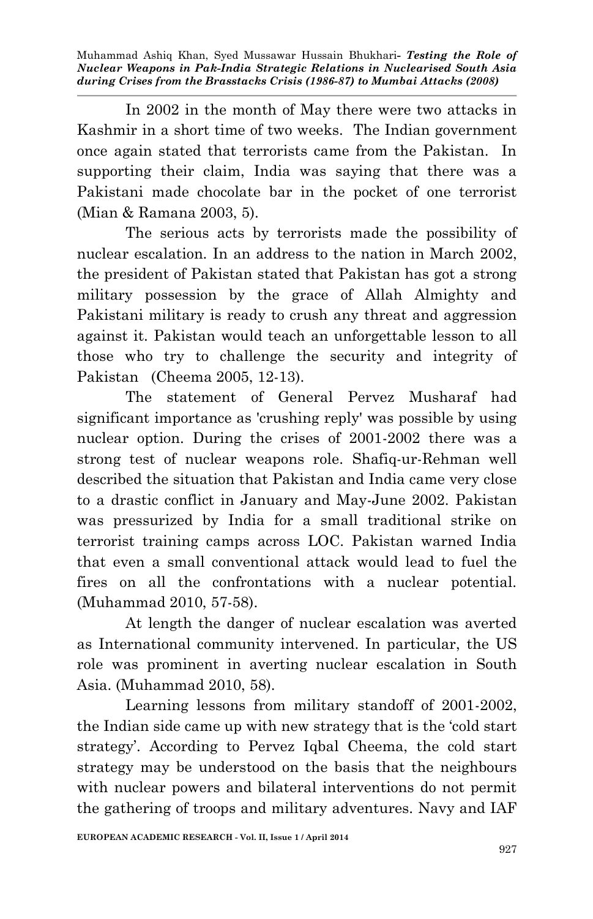In 2002 in the month of May there were two attacks in Kashmir in a short time of two weeks. The Indian government once again stated that terrorists came from the Pakistan. In supporting their claim, India was saying that there was a Pakistani made chocolate bar in the pocket of one terrorist (Mian & Ramana 2003, 5).

The serious acts by terrorists made the possibility of nuclear escalation. In an address to the nation in March 2002, the president of Pakistan stated that Pakistan has got a strong military possession by the grace of Allah Almighty and Pakistani military is ready to crush any threat and aggression against it. Pakistan would teach an unforgettable lesson to all those who try to challenge the security and integrity of Pakistan (Cheema 2005, 12-13).

The statement of General Pervez Musharaf had significant importance as 'crushing reply' was possible by using nuclear option. During the crises of 2001-2002 there was a strong test of nuclear weapons role. Shafiq-ur-Rehman well described the situation that Pakistan and India came very close to a drastic conflict in January and May-June 2002. Pakistan was pressurized by India for a small traditional strike on terrorist training camps across LOC. Pakistan warned India that even a small conventional attack would lead to fuel the fires on all the confrontations with a nuclear potential. (Muhammad 2010, 57-58).

At length the danger of nuclear escalation was averted as International community intervened. In particular, the US role was prominent in averting nuclear escalation in South Asia. (Muhammad 2010, 58).

Learning lessons from military standoff of 2001-2002, the Indian side came up with new strategy that is the 'cold start strategy'. According to Pervez Iqbal Cheema, the cold start strategy may be understood on the basis that the neighbours with nuclear powers and bilateral interventions do not permit the gathering of troops and military adventures. Navy and IAF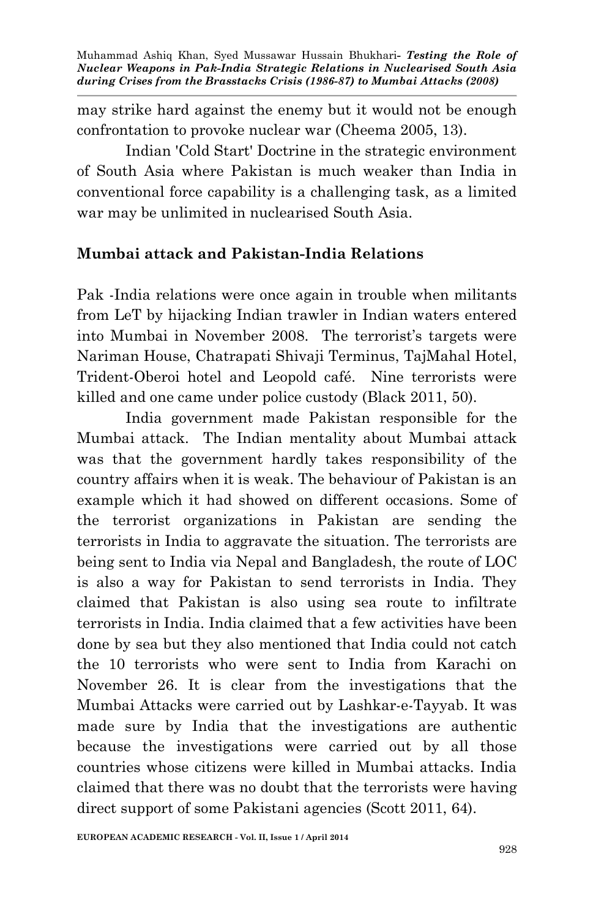may strike hard against the enemy but it would not be enough confrontation to provoke nuclear war (Cheema 2005, 13).

Indian 'Cold Start' Doctrine in the strategic environment of South Asia where Pakistan is much weaker than India in conventional force capability is a challenging task, as a limited war may be unlimited in nuclearised South Asia.

#### **Mumbai attack and Pakistan-India Relations**

Pak -India relations were once again in trouble when militants from LeT by hijacking Indian trawler in Indian waters entered into Mumbai in November 2008. The terrorist's targets were Nariman House, Chatrapati Shivaji Terminus, TajMahal Hotel, Trident-Oberoi hotel and Leopold café. Nine terrorists were killed and one came under police custody (Black 2011, 50).

India government made Pakistan responsible for the Mumbai attack. The Indian mentality about Mumbai attack was that the government hardly takes responsibility of the country affairs when it is weak. The behaviour of Pakistan is an example which it had showed on different occasions. Some of the terrorist organizations in Pakistan are sending the terrorists in India to aggravate the situation. The terrorists are being sent to India via Nepal and Bangladesh, the route of LOC is also a way for Pakistan to send terrorists in India. They claimed that Pakistan is also using sea route to infiltrate terrorists in India. India claimed that a few activities have been done by sea but they also mentioned that India could not catch the 10 terrorists who were sent to India from Karachi on November 26. It is clear from the investigations that the Mumbai Attacks were carried out by Lashkar-e-Tayyab. It was made sure by India that the investigations are authentic because the investigations were carried out by all those countries whose citizens were killed in Mumbai attacks. India claimed that there was no doubt that the terrorists were having direct support of some Pakistani agencies (Scott 2011, 64).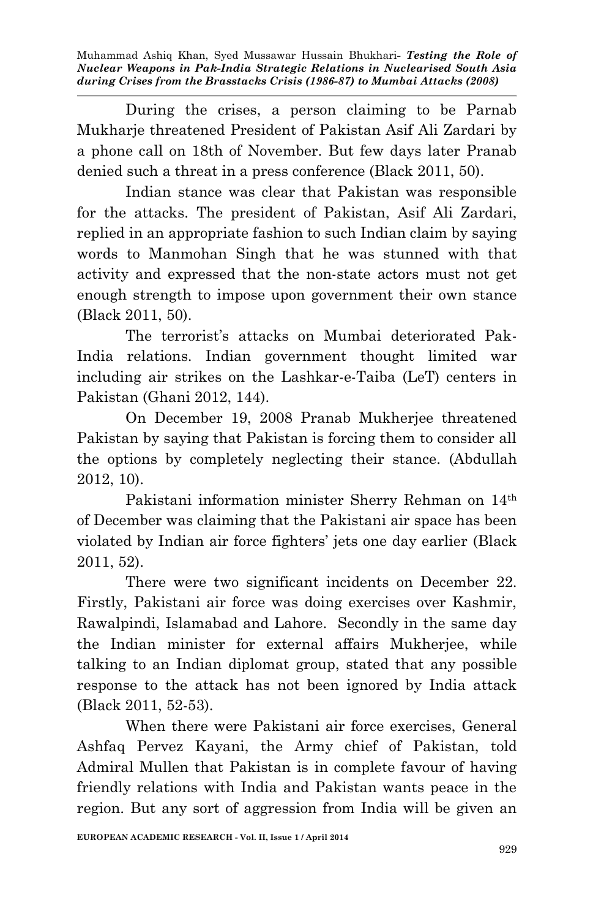During the crises, a person claiming to be Parnab Mukharje threatened President of Pakistan Asif Ali Zardari by a phone call on 18th of November. But few days later Pranab denied such a threat in a press conference (Black 2011, 50).

Indian stance was clear that Pakistan was responsible for the attacks. The president of Pakistan, Asif Ali Zardari, replied in an appropriate fashion to such Indian claim by saying words to Manmohan Singh that he was stunned with that activity and expressed that the non-state actors must not get enough strength to impose upon government their own stance (Black 2011, 50).

The terrorist's attacks on Mumbai deteriorated Pak-India relations. Indian government thought limited war including air strikes on the Lashkar-e-Taiba (LeT) centers in Pakistan (Ghani 2012, 144).

On December 19, 2008 Pranab Mukherjee threatened Pakistan by saying that Pakistan is forcing them to consider all the options by completely neglecting their stance. (Abdullah 2012, 10).

Pakistani information minister Sherry Rehman on 14th of December was claiming that the Pakistani air space has been violated by Indian air force fighters' jets one day earlier (Black 2011, 52).

There were two significant incidents on December 22. Firstly, Pakistani air force was doing exercises over Kashmir, Rawalpindi, Islamabad and Lahore. Secondly in the same day the Indian minister for external affairs Mukherjee, while talking to an Indian diplomat group, stated that any possible response to the attack has not been ignored by India attack (Black 2011, 52-53).

When there were Pakistani air force exercises, General Ashfaq Pervez Kayani, the Army chief of Pakistan, told Admiral Mullen that Pakistan is in complete favour of having friendly relations with India and Pakistan wants peace in the region. But any sort of aggression from India will be given an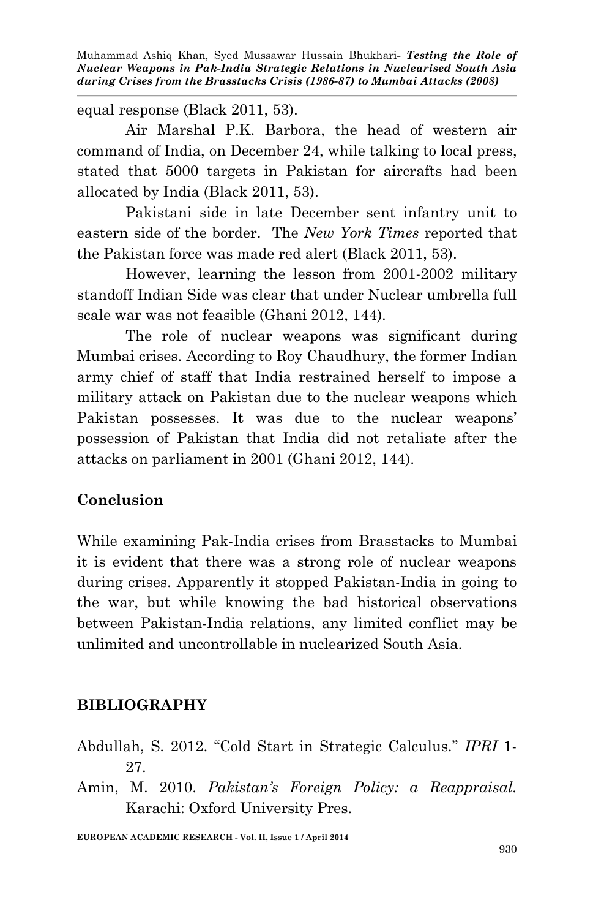equal response (Black 2011, 53).

Air Marshal P.K. Barbora, the head of western air command of India, on December 24, while talking to local press, stated that 5000 targets in Pakistan for aircrafts had been allocated by India (Black 2011, 53).

Pakistani side in late December sent infantry unit to eastern side of the border. The *New York Times* reported that the Pakistan force was made red alert (Black 2011, 53).

However, learning the lesson from 2001-2002 military standoff Indian Side was clear that under Nuclear umbrella full scale war was not feasible (Ghani 2012, 144).

The role of nuclear weapons was significant during Mumbai crises. According to Roy Chaudhury, the former Indian army chief of staff that India restrained herself to impose a military attack on Pakistan due to the nuclear weapons which Pakistan possesses. It was due to the nuclear weapons' possession of Pakistan that India did not retaliate after the attacks on parliament in 2001 (Ghani 2012, 144).

### **Conclusion**

While examining Pak-India crises from Brasstacks to Mumbai it is evident that there was a strong role of nuclear weapons during crises. Apparently it stopped Pakistan-India in going to the war, but while knowing the bad historical observations between Pakistan-India relations, any limited conflict may be unlimited and uncontrollable in nuclearized South Asia.

# **BIBLIOGRAPHY**

- Abdullah, S. 2012. "Cold Start in Strategic Calculus." *IPRI* 1- 27.
- Amin, M. 2010. *Pakistan's Foreign Policy: a Reappraisal.* Karachi: Oxford University Pres.

**EUROPEAN ACADEMIC RESEARCH - Vol. II, Issue 1 / April 2014**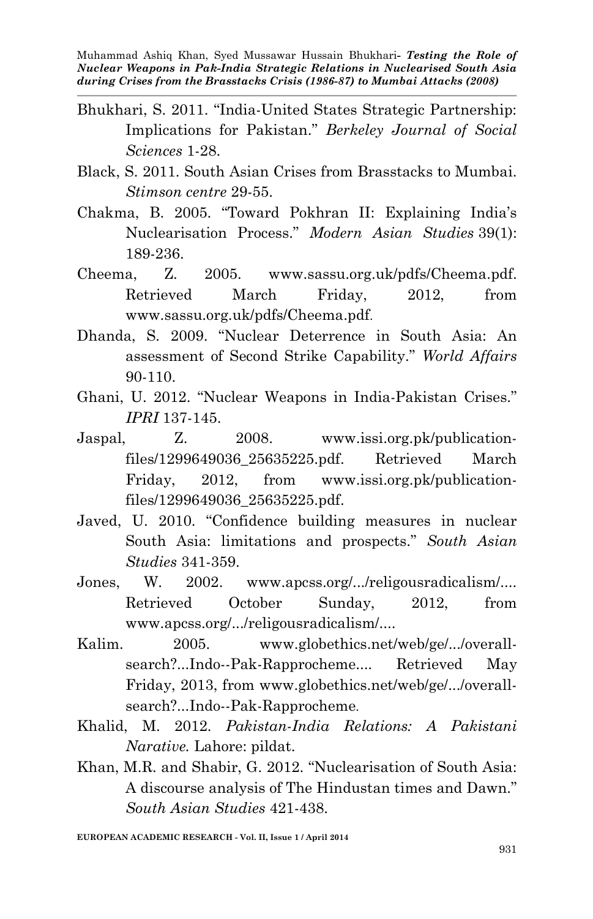- Bhukhari, S. 2011. "India-United States Strategic Partnership: Implications for Pakistan." *Berkeley Journal of Social Sciences* 1-28.
- Black, S. 2011. South Asian Crises from Brasstacks to Mumbai. *Stimson centre* 29-55.
- Chakma, B. 2005. "Toward Pokhran II: Explaining India's Nuclearisation Process." *Modern Asian Studies* 39(1): 189-236.
- Cheema, Z. 2005. www.sassu.org.uk/pdfs/Cheema.pdf. Retrieved March Friday, 2012, from www.sassu.org.uk/pdfs/Cheema.pdf.
- Dhanda, S. 2009. "Nuclear Deterrence in South Asia: An assessment of Second Strike Capability." *World Affairs*  90-110.
- Ghani, U. 2012. "Nuclear Weapons in India-Pakistan Crises." *IPRI* 137-145.
- Jaspal, Z. 2008. www.issi.org.pk/publicationfiles/1299649036\_25635225.pdf. Retrieved March Friday, 2012, from www.issi.org.pk/publicationfiles/1299649036\_25635225.pdf.
- Javed, U. 2010. "Confidence building measures in nuclear South Asia: limitations and prospects." *South Asian Studies* 341-359.
- Jones, W. 2002. www.apcss.org/.../religousradicalism/.... Retrieved October Sunday, 2012, from www.apcss.org/.../religousradicalism/....
- Kalim. 2005. www.globethics.net/web/ge/.../overallsearch?...Indo--Pak-Rapprocheme.... Retrieved May Friday, 2013, from www.globethics.net/web/ge/.../overallsearch?...Indo--Pak-Rapprocheme.
- Khalid, M. 2012. *Pakistan-India Relations: A Pakistani Narative.* Lahore: pildat.
- Khan, M.R. and Shabir, G. 2012. "Nuclearisation of South Asia: A discourse analysis of The Hindustan times and Dawn." *South Asian Studies* 421-438.